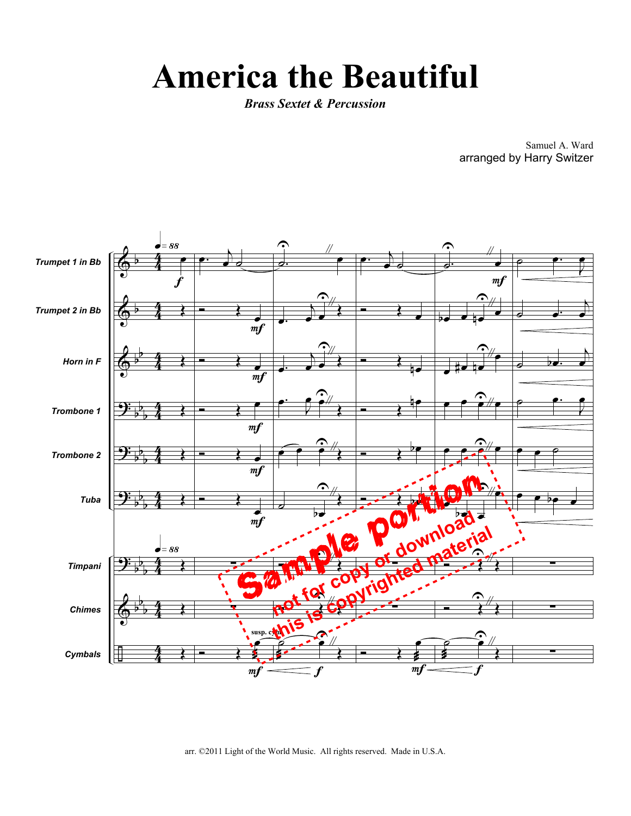## **America the Beautiful**

*Brass Sextet & Percussion*

Samuel A. Ward arranged by Harry Switzer



arr. ©2011 Light of the World Music. All rights reserved. Made in U.S.A.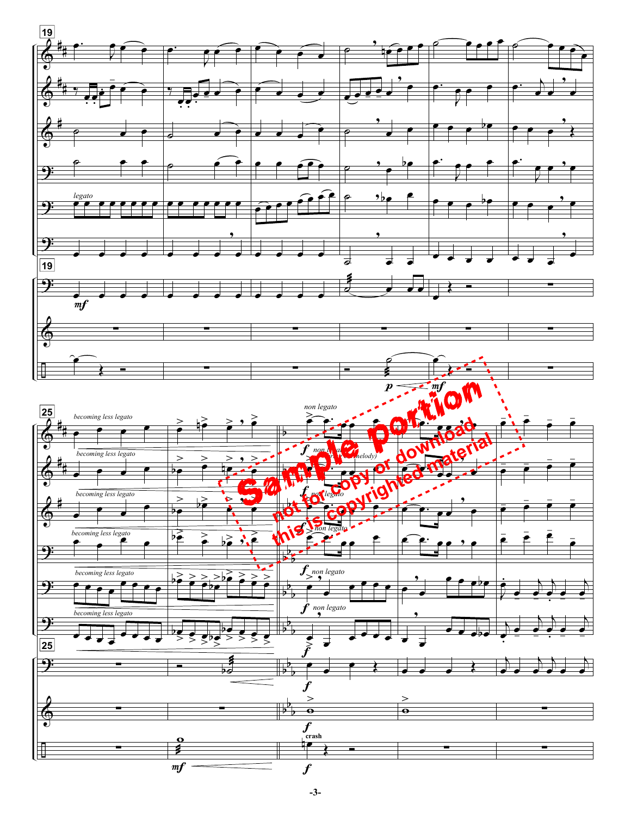

**-3-**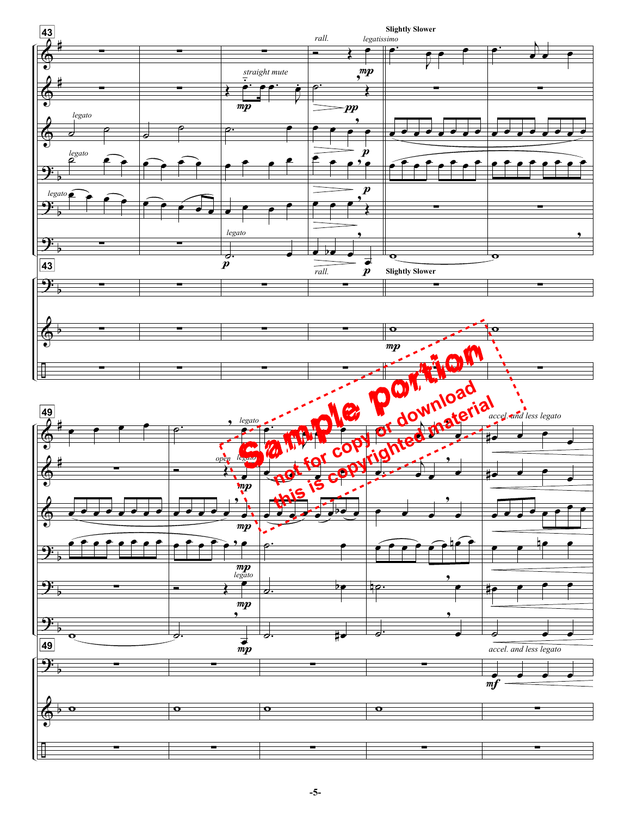